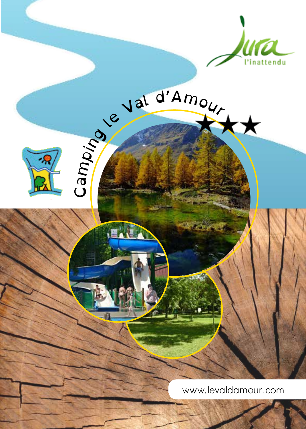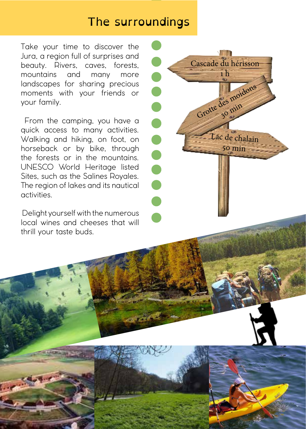## The surroundings

Take your time to discover the Jura, a region full of surprises and beauty. Rivers, caves, forests, mountains and many more landscapes for sharing precious moments with your friends or your family.

 From the camping, you have a quick access to many activities. Walking and hiking, on foot, on horseback or by bike, through the forests or in the mountains. UNESCO World Heritage listed Sites, such as the Salines Royales. The region of lakes and its nautical activities.

 Delight yourself with the numerous local wines and cheeses that will thrill your taste buds.

腰肌 Cascade du hérisson 1 h $\bullet$ Grotte des moidons 30 min **POPULATION** Lac de chalain 50 min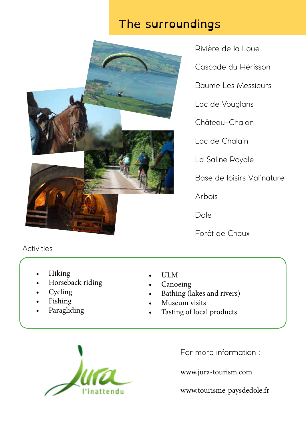# The surroundings



Rivière de la Loue Cascade du Hérisson Baume Les Messieurs Lac de Vouglans Château-Chalon Lac de Chalain La Saline Royale Base de loisirs Val'nature

Arbois

Dole

Forêt de Chaux

#### **Activities**

- Hiking
- Horseback riding
- Cycling
- Fishing
- Paragliding
- ULM
- Canoeing
- Bathing (lakes and rivers)
- Museum visits
- Tasting of local products



For more information :

www.jura-tourism.com

www.tourisme-paysdedole.fr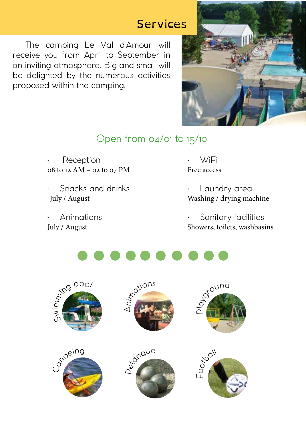## Services

 The camping Le Val d'Amour will receive you from April to September in an inviting atmosphere. Big and small will be delighted by the numerous activities proposed within the camping.



## Open from 04/01 to 15/10

**Reception** 08 to 12 AM – 02 to 07 PM

• Snacks and drinks July / August

• Animations July / August

• WiFi Free access

Laundry area Washing / drying machine

Sanitary facilities Showers, toilets, washbasins



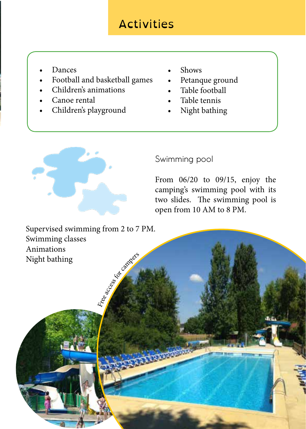# Activities

- **Dances**
- Football and basketball games
- Children's animations
- Canoe rental
- Children's playground
- Shows
- Petanque ground
- Table football
- Table tennis
- Night bathing



## Swimming pool

From 06/20 to 09/15, enjoy the camping's swimming pool with its two slides. The swimming pool is open from 10 AM to 8 PM.

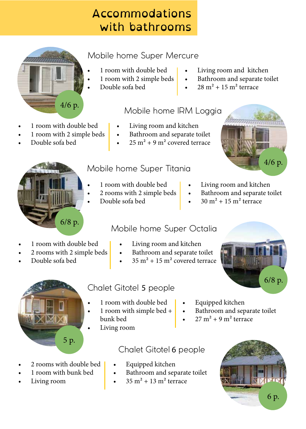# Accommodations with bathrooms

## Mobile home Super Mercure

- 1 room with double bed
- 1 room with 2 simple beds
- Double sofa bed
- Living room and kitchen
- Bathroom and separate toilet
- $28 m<sup>2</sup> + 15 m<sup>2</sup>$  terrace

#### Mobile home IRM Loggia

- Living room and kitchen
- Bathroom and separate toilet
- $25 \text{ m}^2 + 9 \text{ m}^2$  covered terrace





Double sofa bed

• 1 room with double bed • 1 room with 2 simple beds

4/6 p.

- 1 room with double bed
- 2 rooms with 2 simple beds
- Double sofa bed
- Living room and kitchen
- Bathroom and separate toilet

Bathroom and separate toilet

 $27 m<sup>2</sup> + 9 m<sup>2</sup>$  terrace

 $30 \text{ m}^2 + 15 \text{ m}^2$  terrace

- 1 room with double bed
- 2 rooms with 2 simple beds
- Double sofa bed

## Mobile home Super Octalia

- Living room and kitchen
- Bathroom and separate toilet
- $35 \text{ m}^2 + 15 \text{ m}^2$  covered terrace



Living room

• 2 rooms with double bed • 1 room with bunk bed

## Chalet Gitotel 5 people

- 1 room with double bed
- 1 room with simple bed + bunk bed
- Living room

#### Chalet Gitotel 6 people

- Equipped kitchen
- Bathroom and separate toilet
- $35 m<sup>2</sup> + 13 m<sup>2</sup>$  terrace



- 
- 

- - -



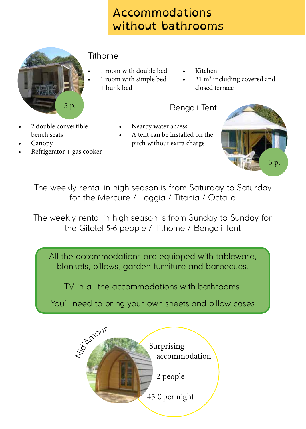# Accommodations without bathrooms

| 5 p. |  |
|------|--|

#### Tithome

- 1 room with double bed
- 1 room with simple bed
- + bunk bed
- Kitchen
- 21 m<sup>2</sup> including covered and closed terrace

#### Bengali Tent

- 2 double convertible bench seats
- Canopy
- $Refrigerator + gas cooler$
- Nearby water access
- A tent can be installed on the pitch without extra charge



The weekly rental in high season is from Saturday to Saturday for the Mercure / Loggia / Titania / Octalia

The weekly rental in high season is from Sunday to Sunday for the Gitotel 5-6 people / Tithome / Bengali Tent

All the accommodations are equipped with tableware, blankets, pillows, garden furniture and barbecues.

TV in all the accommodations with bathrooms.

You'll need to bring your own sheets and pillow cases

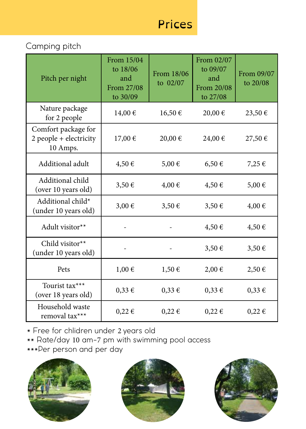# Prices

#### Camping pitch

| Pitch per night                                           | From 15/04<br>to 18/06<br>and<br>From 27/08<br>to 30/09 | From 18/06<br>to 02/07 | From 02/07<br>to 09/07<br>and<br>From 20/08<br>to 27/08 | From 09/07<br>to 20/08 |
|-----------------------------------------------------------|---------------------------------------------------------|------------------------|---------------------------------------------------------|------------------------|
| Nature package<br>for 2 people                            | 14,00€                                                  | 16,50€                 | 20,00 €                                                 | 23,50 €                |
| Comfort package for<br>2 people + electricity<br>10 Amps. | 17,00 €                                                 | 20,00 €                | 24,00 €                                                 | 27,50 €                |
| Additional adult                                          | 4,50€                                                   | 5,00 €                 | $6,50 \in$                                              | 7,25 €                 |
| Additional child<br>(over 10 years old)                   | $3,50 \in$                                              | 4,00 €                 | 4,50€                                                   | 5,00 €                 |
| Additional child*<br>(under 10 years old)                 | 3,00 €                                                  | 3,50€                  | 3,50€                                                   | $4,00 \in$             |
| Adult visitor**                                           |                                                         |                        | $4,50 \in$                                              | $4,50 \in$             |
| Child visitor**<br>(under 10 years old)                   |                                                         |                        | $3,50 \in$                                              | $3,50 \in$             |
| Pets                                                      | $1,00 \in$                                              | $1,50 \in$             | 2,00€                                                   | 2,50€                  |
| Tourist tax***<br>(over 18 years old)                     | $0,33 \in$                                              | $0,33 \in$             | $0,33 \in$                                              | $0,33 \in$             |
| Household waste<br>removal tax***                         | $0,22 \in$                                              | $0,22 \in$             | $0,22 \in$                                              | $0,22 \in$             |

\* Free for chlidren under 2 years old

\*\* Rate/day 10 am-7 pm with swimming pool access

\*\*\*Per person and per day





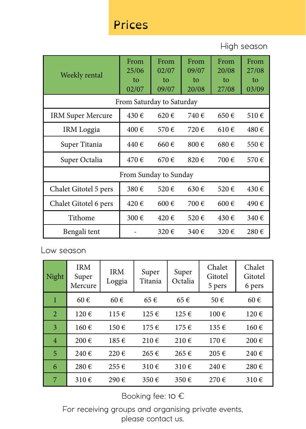## Prices

High season

| Weekly rental             | From<br>25/06<br>to<br>02/07 | From<br>02/07<br>to<br>09/07 | From<br>09/07<br>tο<br>20/08 | From<br>20/08<br>to<br>27/08 | From<br>27/08<br>to<br>03/09 |  |
|---------------------------|------------------------------|------------------------------|------------------------------|------------------------------|------------------------------|--|
| From Saturday to Saturday |                              |                              |                              |                              |                              |  |
| IRM Super Mercure         | 430€                         | 620€                         | 740 €                        | 650€                         | 510€                         |  |
| IRM Loggia                | 400€                         | 570€                         | 720€                         | 610€                         | 480€                         |  |
| Super Titania             | 440€                         | 660€                         | 800€                         | 680€                         | 550€                         |  |
| Super Octalia             | 470€                         | 670€                         | 820€                         | 700€                         | 570€                         |  |
| From Sunday to Sunday     |                              |                              |                              |                              |                              |  |
| Chalet Gitotel 5 pers     | 380€                         | 520€                         | 630€                         | 520€                         | 430€                         |  |
| Chalet Gitotel 6 pers     | 420€                         | 600€                         | 700€                         | $600 \text{ } \in$           | 490€                         |  |
| Tithome                   | 300€                         | 420€                         | 520€                         | 430€                         | 340 €                        |  |
| Bengali tent              |                              | 320€                         | 340€                         | 320€                         | 280€                         |  |

Low season

| Night | <b>IRM</b><br>Super<br>Mercure | <b>IRM</b><br>Loggia | Super<br>Titania   | Super<br>Octalia | Chalet<br>Gitotel<br>5 pers | Chalet<br>Gitotel<br>6 pers |
|-------|--------------------------------|----------------------|--------------------|------------------|-----------------------------|-----------------------------|
| 1     | $60 \in$                       | $60 \in$             | 65€                | 65€              | 50€                         | 60€                         |
| 2     | 120€                           | 115€                 | $125 \in$          | $125 \in$        | 100€                        | 120€                        |
| 3     | 160€                           | 150€                 | 175€               | $175 \in$        | 135€                        | 160€                        |
| 4     | $200 \text{ } \in$             | 185€                 | $210 \in$          | 210€             | 170€                        | 200€                        |
| 5     | 240€                           | $220 \text{ } \in$   | 265€               | 265€             | 205€                        | 240€                        |
| 6     | 280€                           | $255 \in$            | $310 \text{ } \in$ | 310 $\in$        | 240€                        | 280€                        |
| 7     | 310€                           | 290€                 | 350€               | 350€             | 270€                        | 310€                        |

Booking fee: 10 €

For receiving groups and organising private events, please contact us.